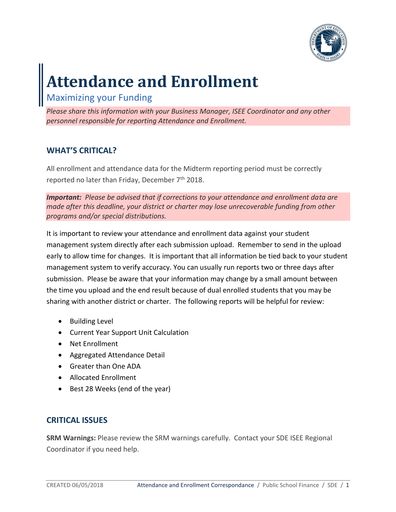

# **Attendance and Enrollment**

# Maximizing your Funding

*Please share this information with your Business Manager, ISEE Coordinator and any other personnel responsible for reporting Attendance and Enrollment.*

## **WHAT'S CRITICAL?**

All enrollment and attendance data for the Midterm reporting period must be correctly reported no later than Friday, December  $7<sup>th</sup>$  2018.

*Important: Please be advised that if corrections to your attendance and enrollment data are made after this deadline, your district or charter may lose unrecoverable funding from other programs and/or special distributions.*

It is important to review your attendance and enrollment data against your student management system directly after each submission upload. Remember to send in the upload early to allow time for changes. It is important that all information be tied back to your student management system to verify accuracy. You can usually run reports two or three days after submission. Please be aware that your information may change by a small amount between the time you upload and the end result because of dual enrolled students that you may be sharing with another district or charter. The following reports will be helpful for review:

- **•** Building Level
- Current Year Support Unit Calculation
- Net Enrollment
- Aggregated Attendance Detail
- Greater than One ADA
- Allocated Enrollment
- Best 28 Weeks (end of the year)

#### **CRITICAL ISSUES**

**SRM Warnings:** Please review the SRM warnings carefully. Contact your SDE ISEE Regional Coordinator if you need help.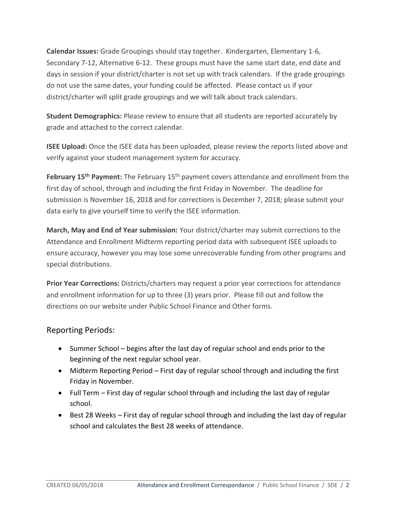**Calendar Issues:** Grade Groupings should stay together. Kindergarten, Elementary 1-6, Secondary 7-12, Alternative 6-12. These groups must have the same start date, end date and days in session if your district/charter is not set up with track calendars. If the grade groupings do not use the same dates, your funding could be affected. Please contact us if your district/charter will split grade groupings and we will talk about track calendars.

**Student Demographics:** Please review to ensure that all students are reported accurately by grade and attached to the correct calendar.

**ISEE Upload:** Once the ISEE data has been uploaded, please review the reports listed above and verify against your student management system for accuracy.

**February 15th Payment:** The February 15th payment covers attendance and enrollment from the first day of school, through and including the first Friday in November. The deadline for submission is November 16, 2018 and for corrections is December 7, 2018; please submit your data early to give yourself time to verify the ISEE information.

**March, May and End of Year submission:** Your district/charter may submit corrections to the Attendance and Enrollment Midterm reporting period data with subsequent ISEE uploads to ensure accuracy, however you may lose some unrecoverable funding from other programs and special distributions.

**Prior Year Corrections:** Districts/charters may request a prior year corrections for attendance and enrollment information for up to three (3) years prior. Please fill out and follow the directions on our website under Public School Finance and Other forms.

#### Reporting Periods:

- Summer School begins after the last day of regular school and ends prior to the beginning of the next regular school year.
- Midterm Reporting Period First day of regular school through and including the first Friday in November.
- Full Term First day of regular school through and including the last day of regular school.
- Best 28 Weeks First day of regular school through and including the last day of regular school and calculates the Best 28 weeks of attendance.